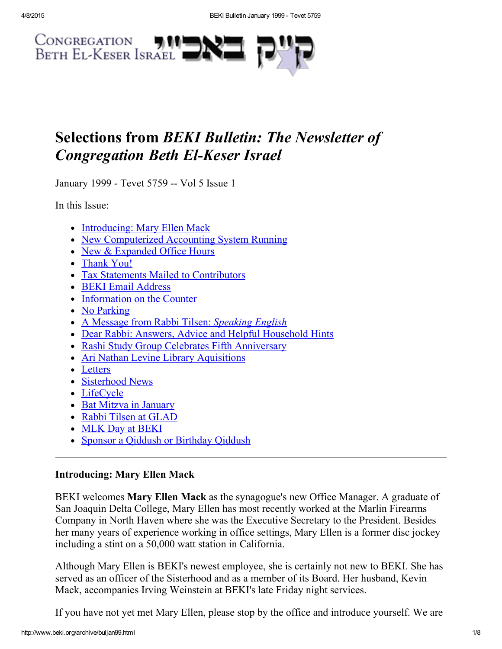

# Selections from BEKI Bulletin: The Newsletter of **Congregation Beth El-Keser Israel**

January 1999 - Tevet 5759 -- Vol 5 Issue 1

In this Issue:

- [Introducing:](#page-0-0) Mary Ellen Mack
- New [Computerized](#page-1-2) Accounting System Running
- New & [Expanded](#page-1-1) Office Hours
- [Thank](#page-1-0) You!
- Tax Statements Mailed to [Contributors](#page-2-2)
- BEKI Email [Address](#page-2-1)
- [Information](#page-2-4) on the Counter
- No [Parking](#page-2-3)
- A Message from Rabbi Tilsen: [Speaking](#page-2-0) English
- Dear Rabbi: Answers, Advice and Helpful [Household](#page-3-0) Hints
- Rashi Study Group Celebrates Fifth [Anniversary](#page-4-1)
- Ari Nathan Levine Library [Aquisitions](#page-4-0)
- [Letters](#page-5-2)
- [Sisterhood](#page-5-1) News
- [LifeCycle](#page-5-0)
- Bat Mitzva in [January](#page-6-1)
- Rabbi Tilsen at [GLAD](#page-6-3)
- MLK Day at [BEKI](#page-6-2)
- Sponsor a Qiddush or [Birthday](#page-6-0) Qiddush

# <span id="page-0-0"></span>Introducing: Mary Ellen Mack

BEKI welcomes Mary Ellen Mack as the synagogue's new Office Manager. A graduate of San Joaquin Delta College, Mary Ellen has most recently worked at the Marlin Firearms Company in North Haven where she was the Executive Secretary to the President. Besides her many years of experience working in office settings, Mary Ellen is a former disc jockey including a stint on a 50,000 watt station in California.

Although Mary Ellen is BEKI's newest employee, she is certainly not new to BEKI. She has served as an officer of the Sisterhood and as a member of its Board. Her husband, Kevin Mack, accompanies Irving Weinstein at BEKI's late Friday night services.

If you have not yet met Mary Ellen, please stop by the office and introduce yourself. We are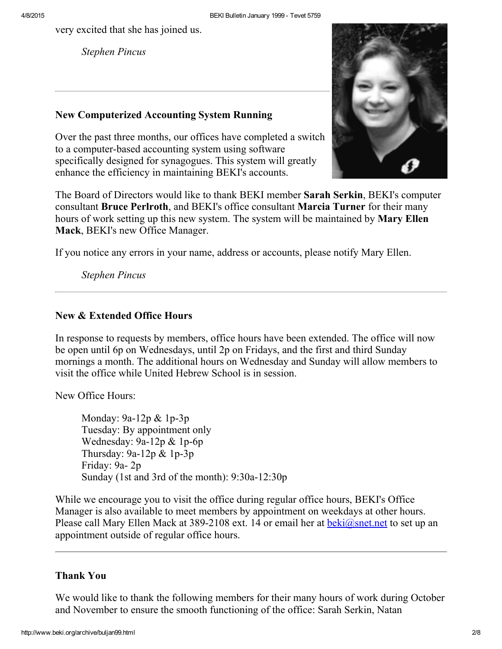very excited that she has joined us.

Stephen Pincus

### <span id="page-1-2"></span>New Computerized Accounting System Running

Over the past three months, our offices have completed a switch to a computer-based accounting system using software specifically designed for synagogues. This system will greatly enhance the efficiency in maintaining BEKI's accounts.



The Board of Directors would like to thank BEKI member Sarah Serkin, BEKI's computer consultant Bruce Perlroth, and BEKI's office consultant Marcia Turner for their many hours of work setting up this new system. The system will be maintained by **Mary Ellen** Mack, BEKI's new Office Manager.

If you notice any errors in your name, address or accounts, please notify Mary Ellen.

Stephen Pincus

### <span id="page-1-1"></span>New & Extended Office Hours

In response to requests by members, office hours have been extended. The office will now be open until 6p on Wednesdays, until 2p on Fridays, and the first and third Sunday mornings a month. The additional hours on Wednesday and Sunday will allow members to visit the office while United Hebrew School is in session.

New Office Hours:

Monday:  $9a-12p \& 1p-3p$ Tuesday: By appointment only Wednesday:  $9a-12p \& 1p-6p$ Thursday:  $9a-12p \& 1p-3p$ Friday: 9a-2p Sunday (1st and 3rd of the month):  $9:30a-12:30p$ 

While we encourage you to visit the office during regular office hours, BEKI's Office Manager is also available to meet members by appointment on weekdays at other hours. Please call Mary Ellen Mack at 389-2108 ext. 14 or email her at  $\frac{beki(\omega)$  snet net to set up an appointment outside of regular office hours.

### <span id="page-1-0"></span>Thank You

We would like to thank the following members for their many hours of work during October and November to ensure the smooth functioning of the office: Sarah Serkin, Natan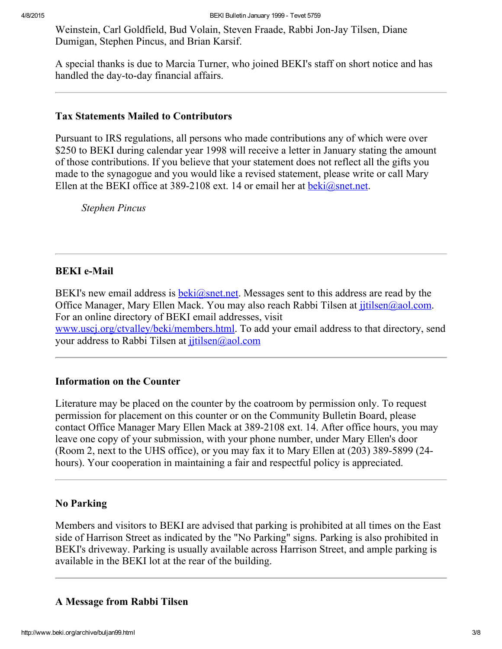Weinstein, Carl Goldfield, Bud Volain, Steven Fraade, Rabbi Jon-Jay Tilsen, Diane Dumigan, Stephen Pincus, and Brian Karsif.

A special thanks is due to Marcia Turner, who joined BEKI's staff on short notice and has handled the day-to-day financial affairs.

### <span id="page-2-2"></span>Tax Statements Mailed to Contributors

Pursuant to IRS regulations, all persons who made contributions any of which were over \$250 to BEKI during calendar year 1998 will receive a letter in January stating the amount of those contributions. If you believe that your statement does not reflect all the gifts you made to the synagogue and you would like a revised statement, please write or call Mary Ellen at the BEKI office at 389-2108 ext. 14 or email her at [beki@snet.net.](mailto:beki@snet.net)

Stephen Pincus

### <span id="page-2-1"></span>**BEKI** e-Mail

BEKI's new email address is  $beki@snet.net$ . Messages sent to this address are read by the Office Manager, Mary Ellen Mack. You may also reach Rabbi Tilsen at *jitilsen@aol.com.* For an online directory of BEKI email addresses, visit www.uscj.org/ctvalley/beki/members.html</u>. To add your email address to that directory, send your address to Rabbi Tilsen at *jitilsen@aol.com* 

### <span id="page-2-4"></span>Information on the Counter

Literature may be placed on the counter by the coatroom by permission only. To request permission for placement on this counter or on the Community Bulletin Board, please contact Office Manager Mary Ellen Mack at 389-2108 ext. 14. After office hours, you may leave one copy of your submission, with your phone number, under Mary Ellen's door (Room 2, next to the UHS office), or you may fax it to Mary Ellen at  $(203)$  389-5899 (24hours). Your cooperation in maintaining a fair and respectful policy is appreciated.

### <span id="page-2-3"></span>No Parking

Members and visitors to BEKI are advised that parking is prohibited at all times on the East side of Harrison Street as indicated by the "No Parking" signs. Parking is also prohibited in BEKI's driveway. Parking is usually available across Harrison Street, and ample parking is available in the BEKI lot at the rear of the building.

### <span id="page-2-0"></span>A Message from Rabbi Tilsen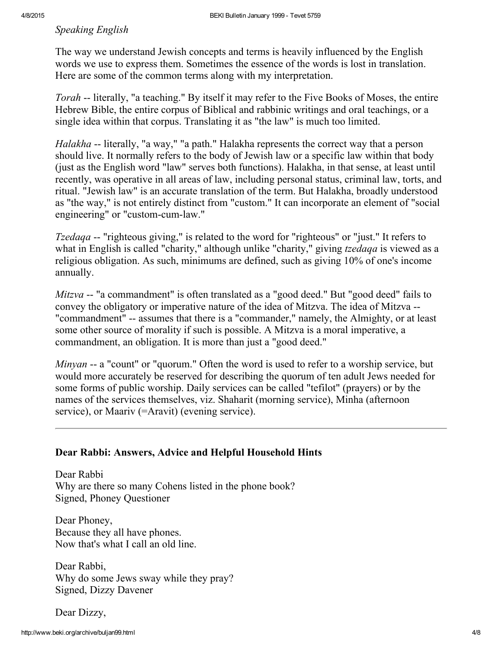### Speaking English

The way we understand Jewish concepts and terms is heavily influenced by the English words we use to express them. Sometimes the essence of the words is lost in translation. Here are some of the common terms along with my interpretation.

Torah -- literally, "a teaching." By itself it may refer to the Five Books of Moses, the entire Hebrew Bible, the entire corpus of Biblical and rabbinic writings and oral teachings, or a single idea within that corpus. Translating it as "the law" is much too limited.

Halakha -- literally, "a way," "a path." Halakha represents the correct way that a person should live. It normally refers to the body of Jewish law or a specific law within that body (just as the English word "law" serves both functions). Halakha, in that sense, at least until recently, was operative in all areas of law, including personal status, criminal law, torts, and ritual. "Jewish law" is an accurate translation of the term. But Halakha, broadly understood as "the way," is not entirely distinct from "custom." It can incorporate an element of "social engineering" or "custom-cum-law."

*Tzedaqa* -- "righteous giving," is related to the word for "righteous" or "just." It refers to what in English is called "charity," although unlike "charity," giving *tzedaqa* is viewed as a religious obligation. As such, minimums are defined, such as giving 10% of one's income annually.

 $Mitzva$  -- "a commandment" is often translated as a "good deed." But "good deed" fails to convey the obligatory or imperative nature of the idea of Mitzva. The idea of Mitzva "commandment" -- assumes that there is a "commander," namely, the Almighty, or at least some other source of morality if such is possible. A Mitzva is a moral imperative, a commandment, an obligation. It is more than just a "good deed."

*Minyan*  $-$  a "count" or "quorum." Often the word is used to refer to a worship service, but would more accurately be reserved for describing the quorum of ten adult Jews needed for some forms of public worship. Daily services can be called "tefilot" (prayers) or by the names of the services themselves, viz. Shaharit (morning service), Minha (afternoon service), or Maariv (=Aravit) (evening service).

### <span id="page-3-0"></span>Dear Rabbi: Answers, Advice and Helpful Household Hints

Dear Rabbi Why are there so many Cohens listed in the phone book? Signed, Phoney Questioner

Dear Phoney, Because they all have phones. Now that's what I call an old line.

Dear Rabbi, Why do some Jews sway while they pray? Signed, Dizzy Davener

Dear Dizzy,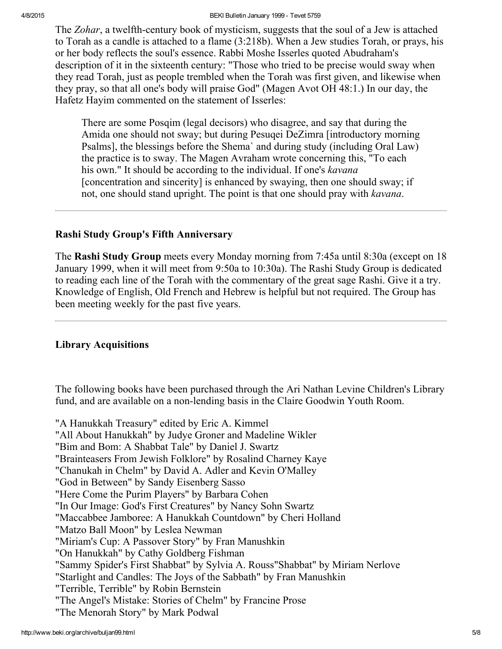#### 4/8/2015 BEKI Bulletin January 1999 Tevet 5759

The Zohar, a twelfth-century book of mysticism, suggests that the soul of a Jew is attached to Torah as a candle is attached to a flame (3:218b). When a Jew studies Torah, or prays, his or her body reflects the soul's essence. Rabbi Moshe Isserles quoted Abudraham's description of it in the sixteenth century: "Those who tried to be precise would sway when they read Torah, just as people trembled when the Torah was first given, and likewise when they pray, so that all one's body will praise God" (Magen Avot OH 48:1.) In our day, the Hafetz Hayim commented on the statement of Isserles:

There are some Posqim (legal decisors) who disagree, and say that during the Amida one should not sway; but during Pesuqei DeZimra [introductory morning Psalms], the blessings before the Shema` and during study (including Oral Law) the practice is to sway. The Magen Avraham wrote concerning this, "To each his own." It should be according to the individual. If one's kavana [concentration and sincerity] is enhanced by swaying, then one should sway; if not, one should stand upright. The point is that one should pray with kavana.

### <span id="page-4-1"></span>Rashi Study Group's Fifth Anniversary

The Rashi Study Group meets every Monday morning from 7:45a until 8:30a (except on 18 January 1999, when it will meet from 9:50a to 10:30a). The Rashi Study Group is dedicated to reading each line of the Torah with the commentary of the great sage Rashi. Give it a try. Knowledge of English, Old French and Hebrew is helpful but not required. The Group has been meeting weekly for the past five years.

### <span id="page-4-0"></span>Library Acquisitions

The following books have been purchased through the Ari Nathan Levine Children's Library fund, and are available on a non-lending basis in the Claire Goodwin Youth Room.

"A Hanukkah Treasury" edited by Eric A. Kimmel "All About Hanukkah" by Judye Groner and Madeline Wikler "Bim and Bom: A Shabbat Tale" by Daniel J. Swartz "Brainteasers From Jewish Folklore" by Rosalind Charney Kaye "Chanukah in Chelm" by David A. Adler and Kevin O'Malley "God in Between" by Sandy Eisenberg Sasso "Here Come the Purim Players" by Barbara Cohen "In Our Image: God's First Creatures" by Nancy Sohn Swartz "Maccabbee Jamboree: A Hanukkah Countdown" by Cheri Holland "Matzo Ball Moon" by Leslea Newman "Miriam's Cup: A Passover Story" by Fran Manushkin "On Hanukkah" by Cathy Goldberg Fishman "Sammy Spider's First Shabbat" by Sylvia A. Rouss"Shabbat" by Miriam Nerlove "Starlight and Candles: The Joys of the Sabbath" by Fran Manushkin "Terrible, Terrible" by Robin Bernstein "The Angel's Mistake: Stories of Chelm" by Francine Prose "The Menorah Story" by Mark Podwal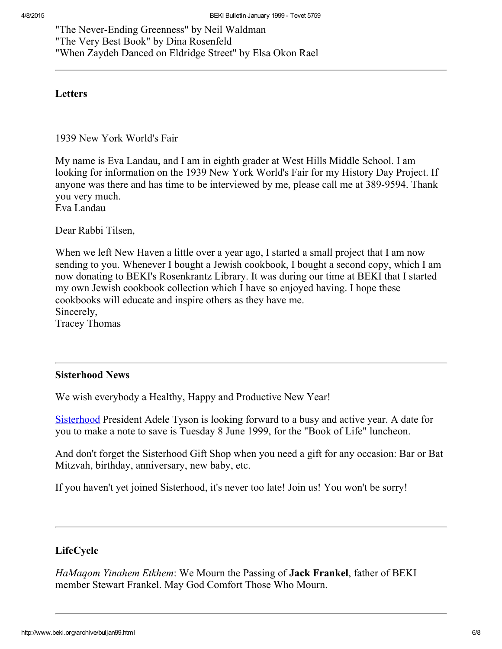"The Never-Ending Greenness" by Neil Waldman "The Very Best Book" by Dina Rosenfeld "When Zaydeh Danced on Eldridge Street" by Elsa Okon Rael

### <span id="page-5-2"></span>**Letters**

1939 New York World's Fair

My name is Eva Landau, and I am in eighth grader at West Hills Middle School. I am looking for information on the 1939 New York World's Fair for my History Day Project. If anyone was there and has time to be interviewed by me, please call me at 389-9594. Thank you very much.

Eva Landau

Dear Rabbi Tilsen,

When we left New Haven a little over a year ago, I started a small project that I am now sending to you. Whenever I bought a Jewish cookbook, I bought a second copy, which I am now donating to BEKI's Rosenkrantz Library. It was during our time at BEKI that I started my own Jewish cookbook collection which I have so enjoyed having. I hope these cookbooks will educate and inspire others as they have me. Sincerely, Tracey Thomas

### <span id="page-5-1"></span>Sisterhood News

We wish everybody a Healthy, Happy and Productive New Year!

[Sisterhood](http://www.beki.org/archive/sisterhood.html) President Adele Tyson is looking forward to a busy and active year. A date for you to make a note to save is Tuesday 8 June 1999, for the "Book of Life" luncheon.

And don't forget the Sisterhood Gift Shop when you need a gift for any occasion: Bar or Bat Mitzvah, birthday, anniversary, new baby, etc.

If you haven't yet joined Sisterhood, it's never too late! Join us! You won't be sorry!

# <span id="page-5-0"></span>LifeCycle

HaMagom Yinahem Etkhem: We Mourn the Passing of **Jack Frankel**, father of BEKI member Stewart Frankel. May God Comfort Those Who Mourn.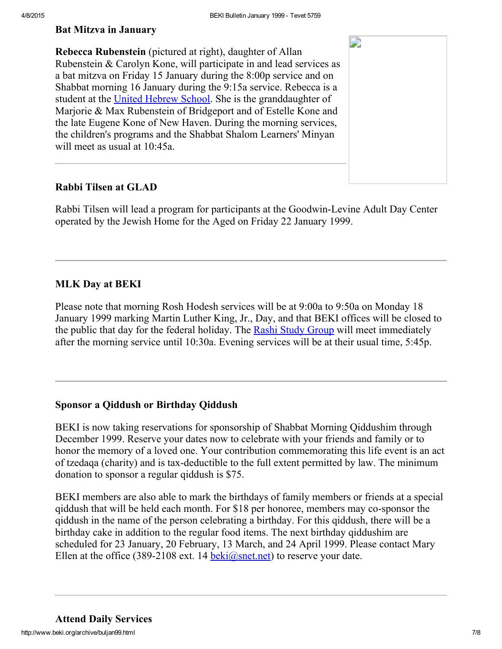D

### <span id="page-6-1"></span>Bat Mitzva in January

Rebecca Rubenstein (pictured at right), daughter of Allan Rubenstein & Carolyn Kone, will participate in and lead services as a bat mitzva on Friday 15 January during the 8:00p service and on Shabbat morning 16 January during the 9:15a service. Rebecca is a student at the United [Hebrew](http://www.beki.org/archive/youth.html#UHS) School. She is the granddaughter of Marjorie & Max Rubenstein of Bridgeport and of Estelle Kone and the late Eugene Kone of New Haven. During the morning services, the children's programs and the Shabbat Shalom Learners' Minyan will meet as usual at 10:45a.

### <span id="page-6-3"></span>Rabbi Tilsen at GLAD

Rabbi Tilsen will lead a program for participants at the Goodwin-Levine Adult Day Center operated by the Jewish Home for the Aged on Friday 22 January 1999.

### <span id="page-6-2"></span>MLK Day at BEKI

Please note that morning Rosh Hodesh services will be at 9:00a to 9:50a on Monday 18 January 1999 marking Martin Luther King, Jr., Day, and that BEKI offices will be closed to the public that day for the federal holiday. The Rashi Study [Group](http://www.beki.org/archive/adulted.html#rashi) will meet immediately after the morning service until 10:30a. Evening services will be at their usual time, 5:45p.

### <span id="page-6-0"></span>Sponsor a Qiddush or Birthday Qiddush

BEKI is now taking reservations for sponsorship of Shabbat Morning Qiddushim through December 1999. Reserve your dates now to celebrate with your friends and family or to honor the memory of a loved one. Your contribution commemorating this life event is an act of tzedaqa (charity) and is tax-deductible to the full extent permitted by law. The minimum donation to sponsor a regular qiddush is \$75.

BEKI members are also able to mark the birthdays of family members or friends at a special qiddush that will be held each month. For \$18 per honoree, members may co-sponsor the qiddush in the name of the person celebrating a birthday. For this qiddush, there will be a birthday cake in addition to the regular food items. The next birthday qiddushim are scheduled for 23 January, 20 February, 13 March, and 24 April 1999. Please contact Mary Ellen at the office (389-2108 ext. 14  $\frac{\text{beki}(\partial \text{snet.net})}{\text{best}}$  to reserve your date.